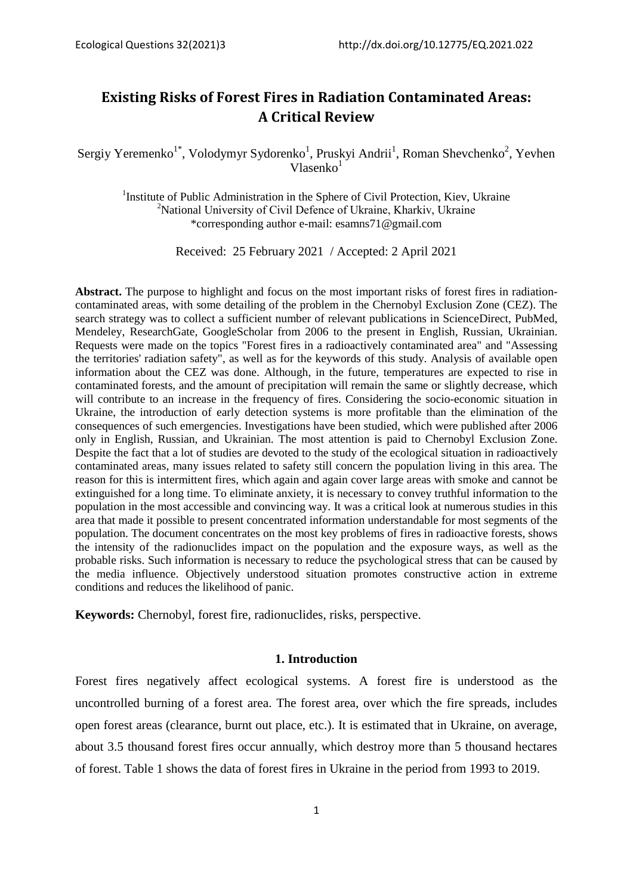# **Existing Risks of Forest Fires in Radiation Contaminated Areas: A Critical Review**

Sergiy Yeremenko<sup>1\*</sup>, Volodymyr Sydorenko<sup>1</sup>, Pruskyi Andrii<sup>1</sup>, Roman Shevchenko<sup>2</sup>, Yevhen  $V$ lasenko $1$ 

<sup>1</sup>Institute of Public Administration in the Sphere of Civil Protection, Kiev, Ukraine 2 National University of Civil Defenсe of Ukraine, Kharkiv, Ukraine \*corresponding author e-mail: esamns71@gmail.com

Received: 25 February 2021 / Accepted: 2 April 2021

**Abstract.** The purpose to highlight and focus on the most important risks of forest fires in radiationcontaminated areas, with some detailing of the problem in the Chernobyl Exclusion Zone (CEZ). The search strategy was to collect a sufficient number of relevant publications in ScienceDirect, PubMed, Mendeley, ResearchGate, GoogleScholar from 2006 to the present in English, Russian, Ukrainian. Requests were made on the topics "Forest fires in a radioactively contaminated area" and "Assessing the territories' radiation safety", as well as for the keywords of this study. Analysis of available open information about the CEZ was done. Although, in the future, temperatures are expected to rise in contaminated forests, and the amount of precipitation will remain the same or slightly decrease, which will contribute to an increase in the frequency of fires. Considering the socio-economic situation in Ukraine, the introduction of early detection systems is more profitable than the elimination of the consequences of such emergencies. Investigations have been studied, which were published after 2006 only in English, Russian, and Ukrainian. The most attention is paid to Chernobyl Exclusion Zone. Despite the fact that a lot of studies are devoted to the study of the ecological situation in radioactively contaminated areas, many issues related to safety still concern the population living in this area. The reason for this is intermittent fires, which again and again cover large areas with smoke and cannot be extinguished for a long time. To eliminate anxiety, it is necessary to convey truthful information to the population in the most accessible and convincing way. It was a critical look at numerous studies in this area that made it possible to present concentrated information understandable for most segments of the population. The document concentrates on the most key problems of fires in radioactive forests, shows the intensity of the radionuclides impact on the population and the exposure ways, as well as the probable risks. Such information is necessary to reduce the psychological stress that can be caused by the media influence. Objectively understood situation promotes constructive action in extreme conditions and reduces the likelihood of panic.

**Keywords:** Chernobyl, forest fire, radionuclides, risks, perspective.

# **1. Introduction**

Forest fires negatively affect ecological systems. A forest fire is understood as the uncontrolled burning of a forest area. The forest area, over which the fire spreads, includes open forest areas (clearance, burnt out place, etc.). It is estimated that in Ukraine, on average, about 3.5 thousand forest fires occur annually, which destroy more than 5 thousand hectares of forest. Table 1 shows the data of forest fires in Ukraine in the period from 1993 to 2019.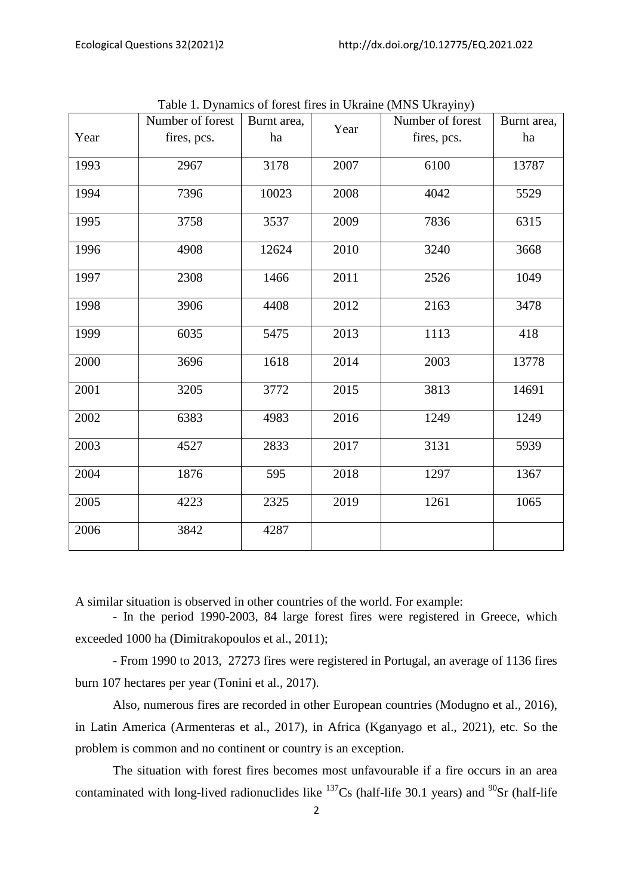|      | Number of forest | Burnt area, |      | Number of forest | Burnt area, |
|------|------------------|-------------|------|------------------|-------------|
| Year | fires, pcs.      | ha          | Year | fires, pcs.      | ha          |
| 1993 | 2967             | 3178        | 2007 | 6100             | 13787       |
| 1994 | 7396             | 10023       | 2008 | 4042             | 5529        |
| 1995 | 3758             | 3537        | 2009 | 7836             | 6315        |
| 1996 | 4908             | 12624       | 2010 | 3240             | 3668        |
| 1997 | 2308             | 1466        | 2011 | 2526             | 1049        |
| 1998 | 3906             | 4408        | 2012 | 2163             | 3478        |
| 1999 | 6035             | 5475        | 2013 | 1113             | 418         |
| 2000 | 3696             | 1618        | 2014 | 2003             | 13778       |
| 2001 | 3205             | 3772        | 2015 | 3813             | 14691       |
| 2002 | 6383             | 4983        | 2016 | 1249             | 1249        |
| 2003 | 4527             | 2833        | 2017 | 3131             | 5939        |
| 2004 | 1876             | 595         | 2018 | 1297             | 1367        |
| 2005 | 4223             | 2325        | 2019 | 1261             | 1065        |
| 2006 | 3842             | 4287        |      |                  |             |

Table 1. Dynamics of forest fires in Ukraine (MNS Ukrayiny)

A similar situation is observed in other countries of the world. For example:

- In the period 1990-2003, 84 large forest fires were registered in Greece, which exceeded 1000 ha (Dimitrakopoulos et al., 2011);

- From 1990 to 2013, 27273 fires were registered in Portugal, an average of 1136 fires burn 107 hectares per year (Tonini et al., 2017).

Also, numerous fires are recorded in other European countries (Modugno et al., 2016), in Latin America (Armenteras et al., 2017), in Africa (Kganyago et al., 2021), etc. So the problem is common and no continent or country is an exception.

The situation with forest fires becomes most unfavourable if a fire occurs in an area contaminated with long-lived radionuclides like  $^{137}Cs$  (half-life 30.1 years) and  $^{90}Sr$  (half-life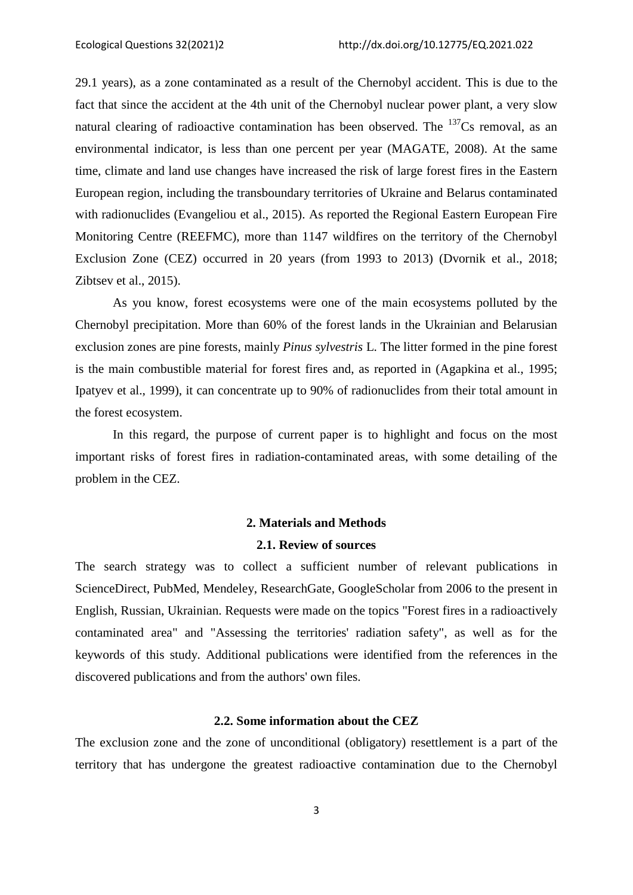29.1 years), as a zone contaminated as a result of the Chernobyl accident. This is due to the fact that since the accident at the 4th unit of the Chernobyl nuclear power plant, a very slow natural clearing of radioactive contamination has been observed. The  $137Cs$  removal, as an environmental indicator, is less than one percent per year (MAGATE, 2008). At the same time, climate and land use changes have increased the risk of large forest fires in the Eastern European region, including the transboundary territories of Ukraine and Belarus contaminated with radionuclides (Evangeliou et al., 2015). As reported the Regional Eastern European Fire Monitoring Centre (REEFMC), more than 1147 wildfires on the territory of the Chernobyl Exclusion Zone (CEZ) occurred in 20 years (from 1993 to 2013) (Dvornik et al., 2018; Zibtsev et al., 2015).

As you know, forest ecosystems were one of the main ecosystems polluted by the Chernobyl precipitation. More than 60% of the forest lands in the Ukrainian and Belarusian exclusion zones are pine forests, mainly *Pinus sylvestris* L. The litter formed in the pine forest is the main combustible material for forest fires and, as reported in (Agapkina et al., 1995; Ipatyev et al., 1999), it can concentrate up to 90% of radionuclides from their total amount in the forest ecosystem.

In this regard, the purpose of current paper is to highlight and focus on the most important risks of forest fires in radiation-contaminated areas, with some detailing of the problem in the CEZ.

# **2. Materials and Methods**

### **2.1. Review of sources**

The search strategy was to collect a sufficient number of relevant publications in ScienceDirect, PubMed, Mendeley, ResearchGate, GoogleScholar from 2006 to the present in English, Russian, Ukrainian. Requests were made on the topics "Forest fires in a radioactively contaminated area" and "Assessing the territories' radiation safety", as well as for the keywords of this study. Additional publications were identified from the references in the discovered publications and from the authors' own files.

# **2.2. Some information about the CEZ**

The exclusion zone and the zone of unconditional (obligatory) resettlement is a part of the territory that has undergone the greatest radioactive contamination due to the Chernobyl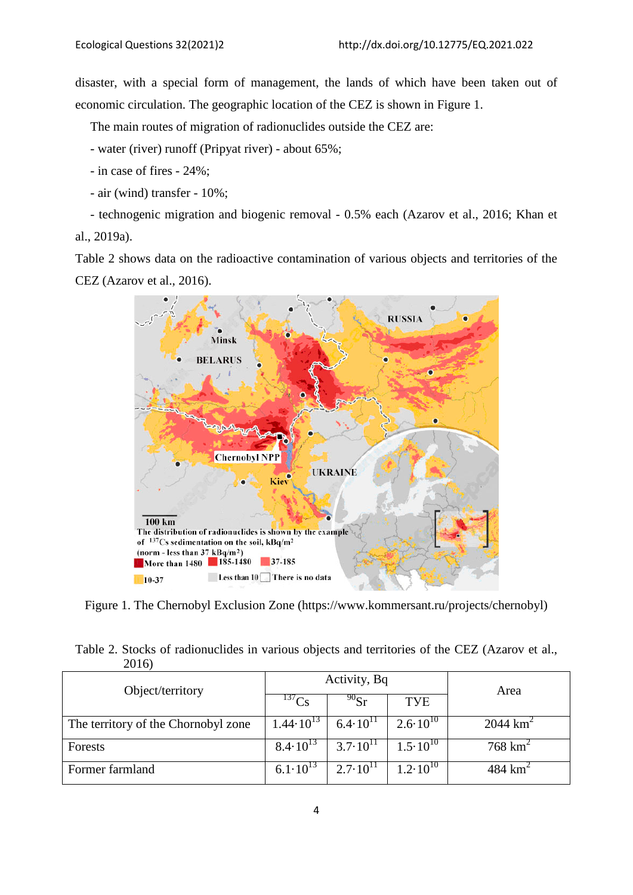disaster, with a special form of management, the lands of which have been taken out of economic circulation. The geographic location of the CEZ is shown in Figure 1.

The main routes of migration of radionuclides outside the CEZ are:

- water (river) runoff (Pripyat river) - about 65%;

- in case of fires 24%;
- air (wind) transfer 10%;

- technogenic migration and biogenic removal - 0.5% each (Azarov et al., 2016; Khan et al., 2019a).

Table 2 shows data on the radioactive contamination of various objects and territories of the CEZ (Azarov et al., 2016).



Figure 1. The Chernobyl Exclusion Zone (https://www.kommersant.ru/projects/chernobyl)

|       | Table 2. Stocks of radionuclides in various objects and territories of the CEZ (Azarov et al., |  |  |  |
|-------|------------------------------------------------------------------------------------------------|--|--|--|
| 2016) |                                                                                                |  |  |  |

| Object/territory                    |                      | Activity, Bq        | Area                |                        |
|-------------------------------------|----------------------|---------------------|---------------------|------------------------|
|                                     |                      | $^{90}$ Sr          | TYE                 |                        |
| The territory of the Chornobyl zone | $1.44 \cdot 10^{13}$ | $6.4 \cdot 10^{11}$ | $2.6 \cdot 10^{10}$ | $2044$ km <sup>2</sup> |
| Forests                             | $8.4 \cdot 10^{13}$  | $3.7 \cdot 10^{11}$ | $1.5 \cdot 10^{10}$ | $768 \text{ km}^2$     |
| Former farmland                     | $6.1 \cdot 10^{13}$  | $2.7 \cdot 10^{11}$ | $2.10^{10}$         | 484 $km^2$             |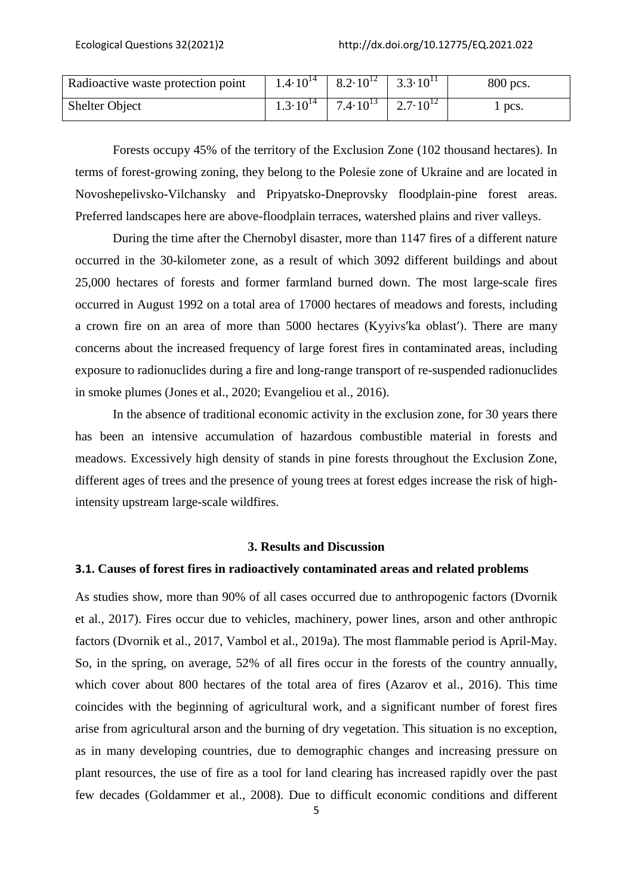| Radioactive waste protection point | $1.4 \cdot 10^{14}$ | $\begin{array}{ c c c c c c } \hline 8.2.10^{12} & 3.3.10^{11} \hline \end{array}$ | 800 pcs. |
|------------------------------------|---------------------|------------------------------------------------------------------------------------|----------|
| <b>Shelter Object</b>              | $1.3 \cdot 10^{14}$ | 7.4.10 <sup>13</sup> 2.7.10 <sup>12</sup>                                          | pcs.     |

Forests occupy 45% of the territory of the Exclusion Zone (102 thousand hectares). In terms of forest-growing zoning, they belong to the Polesie zone of Ukraine and are located in Novoshepelivsko-Vilchansky and Pripyatsko-Dneprovsky floodplain-pine forest areas. Preferred landscapes here are above-floodplain terraces, watershed plains and river valleys.

During the time after the Chernobyl disaster, more than 1147 fires of a different nature occurred in the 30-kilometer zone, as a result of which 3092 different buildings and about 25,000 hectares of forests and former farmland burned down. The most large-scale fires occurred in August 1992 on a total area of 17000 hectares of meadows and forests, including a crown fire on an area of more than 5000 hectares (Kyyivs'ka oblast'). There are many concerns about the increased frequency of large forest fires in contaminated areas, including exposure to radionuclides during a fire and long-range transport of re-suspended radionuclides in smoke plumes (Jones et al., 2020; Evangeliou et al., 2016).

In the absence of traditional economic activity in the exclusion zone, for 30 years there has been an intensive accumulation of hazardous combustible material in forests and meadows. Excessively high density of stands in pine forests throughout the Exclusion Zone, different ages of trees and the presence of young trees at forest edges increase the risk of highintensity upstream large-scale wildfires.

### **3. Results and Discussion**

### **3.1. Causes of forest fires in radioactively contaminated areas and related problems**

As studies show, more than 90% of all cases occurred due to anthropogenic factors (Dvornik et al., 2017). Fires occur due to vehicles, machinery, power lines, arson and other anthropic factors (Dvornik et al., 2017, Vambol et al., 2019a). The most flammable period is April-May. So, in the spring, on average, 52% of all fires occur in the forests of the country annually, which cover about 800 hectares of the total area of fires (Azarov et al., 2016). This time coincides with the beginning of agricultural work, and a significant number of forest fires arise from agricultural arson and the burning of dry vegetation. This situation is no exception, as in many developing countries, due to demographic changes and increasing pressure on plant resources, the use of fire as a tool for land clearing has increased rapidly over the past few decades (Goldammer et al., 2008). Due to difficult economic conditions and different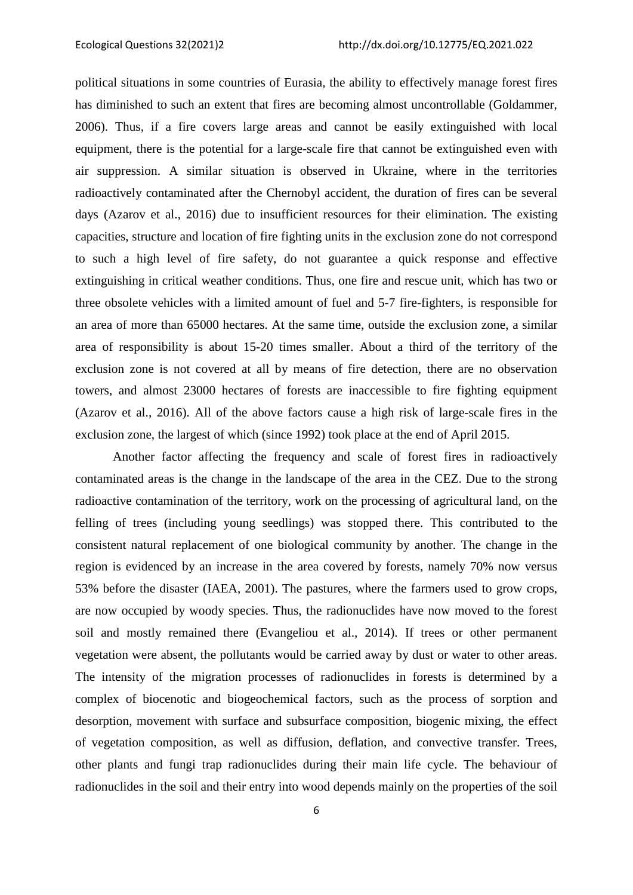political situations in some countries of Eurasia, the ability to effectively manage forest fires has diminished to such an extent that fires are becoming almost uncontrollable (Goldammer, 2006). Thus, if a fire covers large areas and cannot be easily extinguished with local equipment, there is the potential for a large-scale fire that cannot be extinguished even with air suppression. A similar situation is observed in Ukraine, where in the territories radioactively contaminated after the Chernobyl accident, the duration of fires can be several days (Azarov et al., 2016) due to insufficient resources for their elimination. The existing capacities, structure and location of fire fighting units in the exclusion zone do not correspond to such a high level of fire safety, do not guarantee a quick response and effective extinguishing in critical weather conditions. Thus, one fire and rescue unit, which has two or three obsolete vehicles with a limited amount of fuel and 5-7 fire-fighters, is responsible for an area of more than 65000 hectares. At the same time, outside the exclusion zone, a similar area of responsibility is about 15-20 times smaller. About a third of the territory of the exclusion zone is not covered at all by means of fire detection, there are no observation towers, and almost 23000 hectares of forests are inaccessible to fire fighting equipment (Azarov et al., 2016). All of the above factors cause a high risk of large-scale fires in the exclusion zone, the largest of which (since 1992) took place at the end of April 2015.

Another factor affecting the frequency and scale of forest fires in radioactively contaminated areas is the change in the landscape of the area in the CEZ. Due to the strong radioactive contamination of the territory, work on the processing of agricultural land, on the felling of trees (including young seedlings) was stopped there. This contributed to the consistent natural replacement of one biological community by another. The change in the region is evidenced by an increase in the area covered by forests, namely 70% now versus 53% before the disaster (IAEA, 2001). The pastures, where the farmers used to grow crops, are now occupied by woody species. Thus, the radionuclides have now moved to the forest soil and mostly remained there (Evangeliou et al., 2014). If trees or other permanent vegetation were absent, the pollutants would be carried away by dust or water to other areas. The intensity of the migration processes of radionuclides in forests is determined by a complex of biocenotic and biogeochemical factors, such as the process of sorption and desorption, movement with surface and subsurface composition, biogenic mixing, the effect of vegetation composition, as well as diffusion, deflation, and convective transfer. Trees, other plants and fungi trap radionuclides during their main life cycle. The behaviour of radionuclides in the soil and their entry into wood depends mainly on the properties of the soil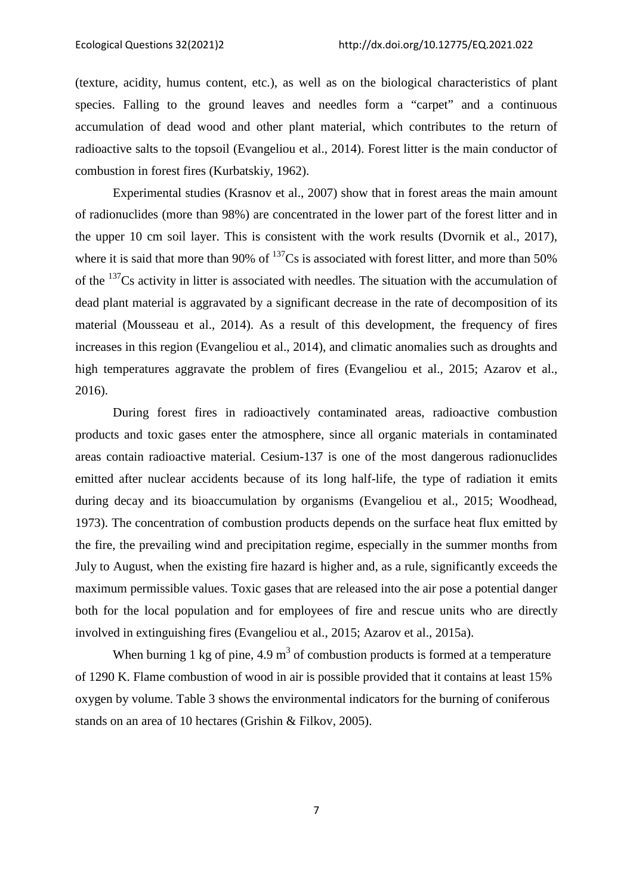(texture, acidity, humus content, etc.), as well as on the biological characteristics of plant species. Falling to the ground leaves and needles form a "carpet" and a continuous accumulation of dead wood and other plant material, which contributes to the return of radioactive salts to the topsoil (Evangeliou et al., 2014). Forest litter is the main conductor of combustion in forest fires (Kurbatskiy, 1962).

Experimental studies (Krasnov et al., 2007) show that in forest areas the main amount of radionuclides (more than 98%) are concentrated in the lower part of the forest litter and in the upper 10 cm soil layer. This is consistent with the work results (Dvornik et al., 2017), where it is said that more than 90% of  $^{137}Cs$  is associated with forest litter, and more than 50% of the <sup>137</sup>Cs activity in litter is associated with needles. The situation with the accumulation of dead plant material is aggravated by a significant decrease in the rate of decomposition of its material (Mousseau et al., 2014). As a result of this development, the frequency of fires increases in this region (Evangeliou et al., 2014), and climatic anomalies such as droughts and high temperatures aggravate the problem of fires (Evangeliou et al., 2015; Azarov et al., 2016).

During forest fires in radioactively contaminated areas, radioactive combustion products and toxic gases enter the atmosphere, since all organic materials in contaminated areas contain radioactive material. Cesium-137 is one of the most dangerous radionuclides emitted after nuclear accidents because of its long half-life, the type of radiation it emits during decay and its bioaccumulation by organisms (Evangeliou et al., 2015; Woodhead, 1973). The concentration of combustion products depends on the surface heat flux emitted by the fire, the prevailing wind and precipitation regime, especially in the summer months from July to August, when the existing fire hazard is higher and, as a rule, significantly exceeds the maximum permissible values. Toxic gases that are released into the air pose a potential danger both for the local population and for employees of fire and rescue units who are directly involved in extinguishing fires (Evangeliou et al., 2015; Azarov et al., 2015a).

When burning 1 kg of pine,  $4.9 \text{ m}^3$  of combustion products is formed at a temperature of 1290 K. Flame combustion of wood in air is possible provided that it contains at least 15% oxygen by volume. Table 3 shows the environmental indicators for the burning of coniferous stands on an area of 10 hectares (Grishin & Filkov, 2005).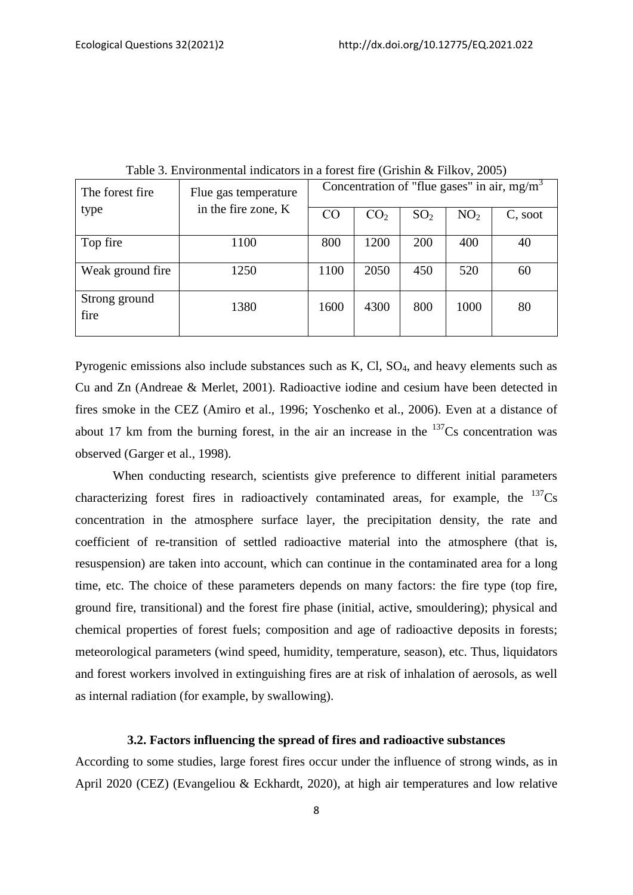| The forest fire       | Flue gas temperature | Concentration of "flue gases" in air, $mg/m3$ |                 |                 |                 |         |
|-----------------------|----------------------|-----------------------------------------------|-----------------|-----------------|-----------------|---------|
| type                  | in the fire zone, K  | $_{\rm CO}$                                   | CO <sub>2</sub> | SO <sub>2</sub> | NO <sub>2</sub> | C, soot |
| Top fire              | 1100                 | 800                                           | 1200            | 200             | 400             | 40      |
| Weak ground fire.     | 1250                 | 1100                                          | 2050            | 450             | 520             | 60      |
| Strong ground<br>fire | 1380                 | 1600                                          | 4300            | 800             | 1000            | 80      |

Table 3. Environmental indicators in a forest fire (Grishin & Filkov, 2005)

Pyrogenic emissions also include substances such as  $K$ ,  $Cl$ ,  $SO<sub>4</sub>$ , and heavy elements such as Cu and Zn (Andreae & Merlet, 2001). Radioactive iodine and cesium have been detected in fires smoke in the CEZ (Amiro et al., 1996; Yoschenko et al., 2006). Even at a distance of about 17 km from the burning forest, in the air an increase in the  $137Cs$  concentration was observed (Garger et al., 1998).

When conducting research, scientists give preference to different initial parameters characterizing forest fires in radioactively contaminated areas, for example, the  $137Cs$ concentration in the atmosphere surface layer, the precipitation density, the rate and coefficient of re-transition of settled radioactive material into the atmosphere (that is, resuspension) are taken into account, which can continue in the contaminated area for a long time, etc. The choice of these parameters depends on many factors: the fire type (top fire, ground fire, transitional) and the forest fire phase (initial, active, smouldering); physical and chemical properties of forest fuels; composition and age of radioactive deposits in forests; meteorological parameters (wind speed, humidity, temperature, season), etc. Thus, liquidators and forest workers involved in extinguishing fires are at risk of inhalation of aerosols, as well as internal radiation (for example, by swallowing).

# **3.2. Factors influencing the spread of fires and radioactive substances**

According to some studies, large forest fires occur under the influence of strong winds, as in April 2020 (CEZ) (Evangeliou & Eckhardt, 2020), at high air temperatures and low relative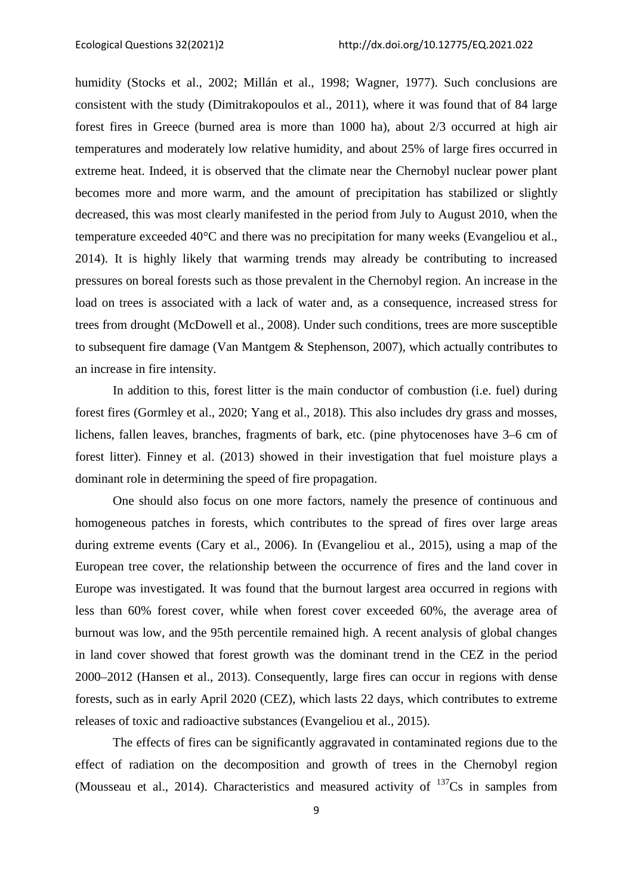humidity (Stocks et al., 2002; Millán et al., 1998; Wagner, 1977). Such conclusions are consistent with the study (Dimitrakopoulos et al., 2011), where it was found that of 84 large forest fires in Greece (burned area is more than 1000 ha), about 2/3 occurred at high air temperatures and moderately low relative humidity, and about 25% of large fires occurred in extreme heat. Indeed, it is observed that the climate near the Chernobyl nuclear power plant becomes more and more warm, and the amount of precipitation has stabilized or slightly decreased, this was most clearly manifested in the period from July to August 2010, when the temperature exceeded 40°C and there was no precipitation for many weeks (Evangeliou et al., 2014). It is highly likely that warming trends may already be contributing to increased pressures on boreal forests such as those prevalent in the Chernobyl region. An increase in the load on trees is associated with a lack of water and, as a consequence, increased stress for trees from drought (McDowell et al., 2008). Under such conditions, trees are more susceptible to subsequent fire damage (Van Mantgem & Stephenson, 2007), which actually contributes to an increase in fire intensity.

In addition to this, forest litter is the main conductor of combustion (i.e. fuel) during forest fires (Gormley et al., 2020; Yang et al., 2018). This also includes dry grass and mosses, lichens, fallen leaves, branches, fragments of bark, etc. (pine phytocenoses have 3–6 cm of forest litter). Finney et al. (2013) showed in their investigation that fuel moisture plays a dominant role in determining the speed of fire propagation.

One should also focus on one more factors, namely the presence of continuous and homogeneous patches in forests, which contributes to the spread of fires over large areas during extreme events (Cary et al., 2006). In (Evangeliou et al., 2015), using a map of the European tree cover, the relationship between the occurrence of fires and the land cover in Europe was investigated. It was found that the burnout largest area occurred in regions with less than 60% forest cover, while when forest cover exceeded 60%, the average area of burnout was low, and the 95th percentile remained high. A recent analysis of global changes in land cover showed that forest growth was the dominant trend in the CEZ in the period 2000–2012 (Hansen et al., 2013). Consequently, large fires can occur in regions with dense forests, such as in early April 2020 (CEZ), which lasts 22 days, which contributes to extreme releases of toxic and radioactive substances (Evangeliou et al., 2015).

The effects of fires can be significantly aggravated in contaminated regions due to the effect of radiation on the decomposition and growth of trees in the Chernobyl region (Mousseau et al., 2014). Characteristics and measured activity of  $137$ Cs in samples from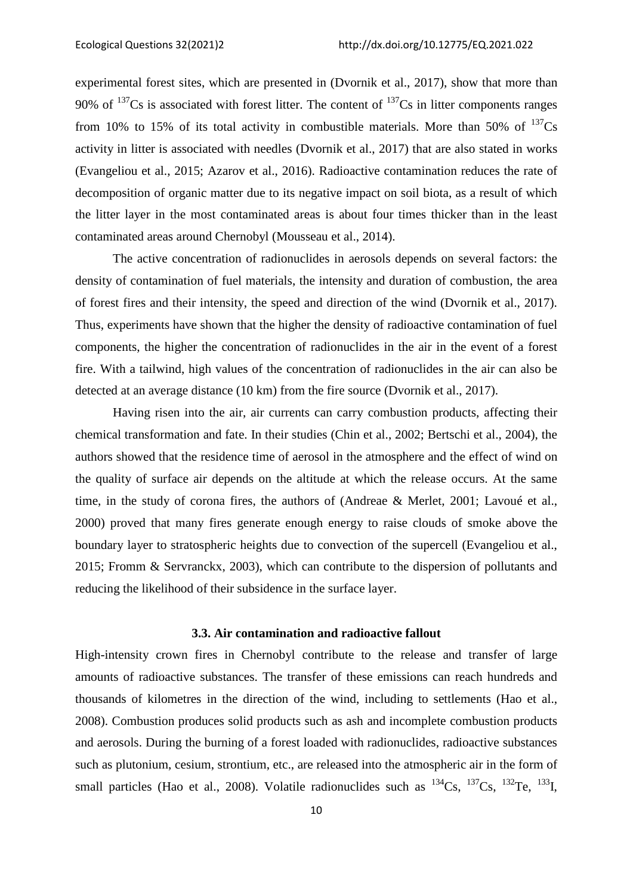experimental forest sites, which are presented in (Dvornik et al., 2017), show that more than 90% of  $137Cs$  is associated with forest litter. The content of  $137Cs$  in litter components ranges from 10% to 15% of its total activity in combustible materials. More than 50% of  $^{137}Cs$ activity in litter is associated with needles (Dvornik et al., 2017) that are also stated in works (Evangeliou et al., 2015; Azarov et al., 2016). Radioactive contamination reduces the rate of decomposition of organic matter due to its negative impact on soil biota, as a result of which the litter layer in the most contaminated areas is about four times thicker than in the least contaminated areas around Chernobyl (Mousseau et al., 2014).

The active concentration of radionuclides in aerosols depends on several factors: the density of contamination of fuel materials, the intensity and duration of combustion, the area of forest fires and their intensity, the speed and direction of the wind (Dvornik et al., 2017). Thus, experiments have shown that the higher the density of radioactive contamination of fuel components, the higher the concentration of radionuclides in the air in the event of a forest fire. With a tailwind, high values of the concentration of radionuclides in the air can also be detected at an average distance (10 km) from the fire source (Dvornik et al., 2017).

Having risen into the air, air currents can carry combustion products, affecting their chemical transformation and fate. In their studies (Chin et al., 2002; Bertschi et al., 2004), the authors showed that the residence time of aerosol in the atmosphere and the effect of wind on the quality of surface air depends on the altitude at which the release occurs. At the same time, in the study of corona fires, the authors of (Andreae & Merlet, 2001; Lavoué et al., 2000) proved that many fires generate enough energy to raise clouds of smoke above the boundary layer to stratospheric heights due to convection of the supercell (Evangeliou et al., 2015; Fromm & Servranckx, 2003), which can contribute to the dispersion of pollutants and reducing the likelihood of their subsidence in the surface layer.

### **3.3. Air contamination and radioactive fallout**

High-intensity crown fires in Chernobyl contribute to the release and transfer of large amounts of radioactive substances. The transfer of these emissions can reach hundreds and thousands of kilometres in the direction of the wind, including to settlements (Hao et al., 2008). Combustion produces solid products such as ash and incomplete combustion products and aerosols. During the burning of a forest loaded with radionuclides, radioactive substances such as plutonium, cesium, strontium, etc., are released into the atmospheric air in the form of small particles (Hao et al., 2008). Volatile radionuclides such as  $^{134}Cs$ ,  $^{137}Cs$ ,  $^{132}Te$ ,  $^{133}I$ ,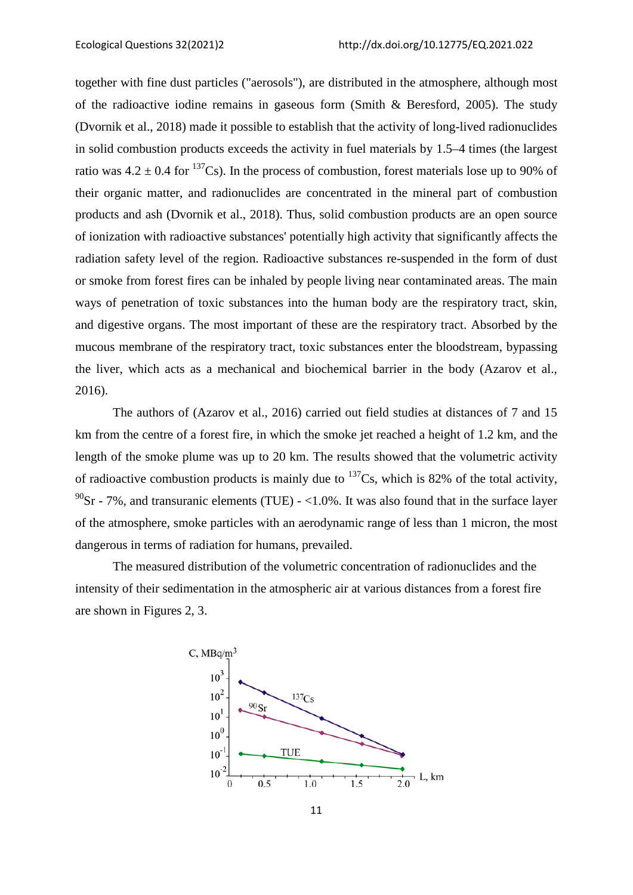together with fine dust particles ("aerosols"), are distributed in the atmosphere, although most of the radioactive iodine remains in gaseous form (Smith & Beresford, 2005). The study (Dvornik et al., 2018) made it possible to establish that the activity of long-lived radionuclides in solid combustion products exceeds the activity in fuel materials by 1.5–4 times (the largest ratio was  $4.2 \pm 0.4$  for <sup>137</sup>Cs). In the process of combustion, forest materials lose up to 90% of their organic matter, and radionuclides are concentrated in the mineral part of combustion products and ash (Dvornik et al., 2018). Thus, solid combustion products are an open source of ionization with radioactive substances' potentially high activity that significantly affects the radiation safety level of the region. Radioactive substances re-suspended in the form of dust or smoke from forest fires can be inhaled by people living near contaminated areas. The main ways of penetration of toxic substances into the human body are the respiratory tract, skin, and digestive organs. The most important of these are the respiratory tract. Absorbed by the mucous membrane of the respiratory tract, toxic substances enter the bloodstream, bypassing the liver, which acts as a mechanical and biochemical barrier in the body (Azarov et al., 2016).

The authors of (Azarov et al., 2016) carried out field studies at distances of 7 and 15 km from the centre of a forest fire, in which the smoke jet reached a height of 1.2 km, and the length of the smoke plume was up to 20 km. The results showed that the volumetric activity of radioactive combustion products is mainly due to  $^{137}Cs$ , which is 82% of the total activity,  $^{90}$ Sr - 7%, and transuranic elements (TUE) - <1.0%. It was also found that in the surface layer of the atmosphere, smoke particles with an aerodynamic range of less than 1 micron, the most dangerous in terms of radiation for humans, prevailed.

The measured distribution of the volumetric concentration of radionuclides and the intensity of their sedimentation in the atmospheric air at various distances from a forest fire are shown in Figures 2, 3.

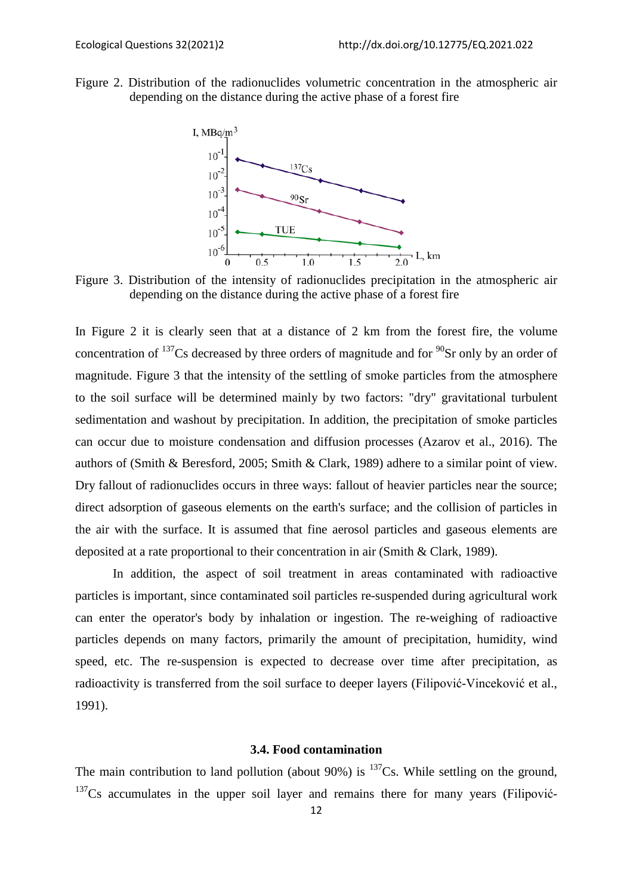Figure 2. Distribution of the radionuclides volumetric concentration in the atmospheric air depending on the distance during the active phase of a forest fire



Figure 3. Distribution of the intensity of radionuclides precipitation in the atmospheric air depending on the distance during the active phase of a forest fire

In Figure 2 it is clearly seen that at a distance of 2 km from the forest fire, the volume concentration of  $^{137}$ Cs decreased by three orders of magnitude and for  $^{90}$ Sr only by an order of magnitude. Figure 3 that the intensity of the settling of smoke particles from the atmosphere to the soil surface will be determined mainly by two factors: "dry" gravitational turbulent sedimentation and washout by precipitation. In addition, the precipitation of smoke particles can occur due to moisture condensation and diffusion processes (Azarov et al., 2016). The authors of (Smith & Beresford, 2005; Smith & Clark, 1989) adhere to a similar point of view. Dry fallout of radionuclides occurs in three ways: fallout of heavier particles near the source; direct adsorption of gaseous elements on the earth's surface; and the collision of particles in the air with the surface. It is assumed that fine aerosol particles and gaseous elements are deposited at a rate proportional to their concentration in air (Smith & Clark, 1989).

In addition, the aspect of soil treatment in areas contaminated with radioactive particles is important, since contaminated soil particles re-suspended during agricultural work can enter the operator's body by inhalation or ingestion. The re-weighing of radioactive particles depends on many factors, primarily the amount of precipitation, humidity, wind speed, etc. The re-suspension is expected to decrease over time after precipitation, as radioactivity is transferred from the soil surface to deeper layers (Filipović-Vinceković et al., 1991).

# **3.4. Food contamination**

The main contribution to land pollution (about 90%) is  $^{137}Cs$ . While settling on the ground,  $137Cs$  accumulates in the upper soil layer and remains there for many years (Filipović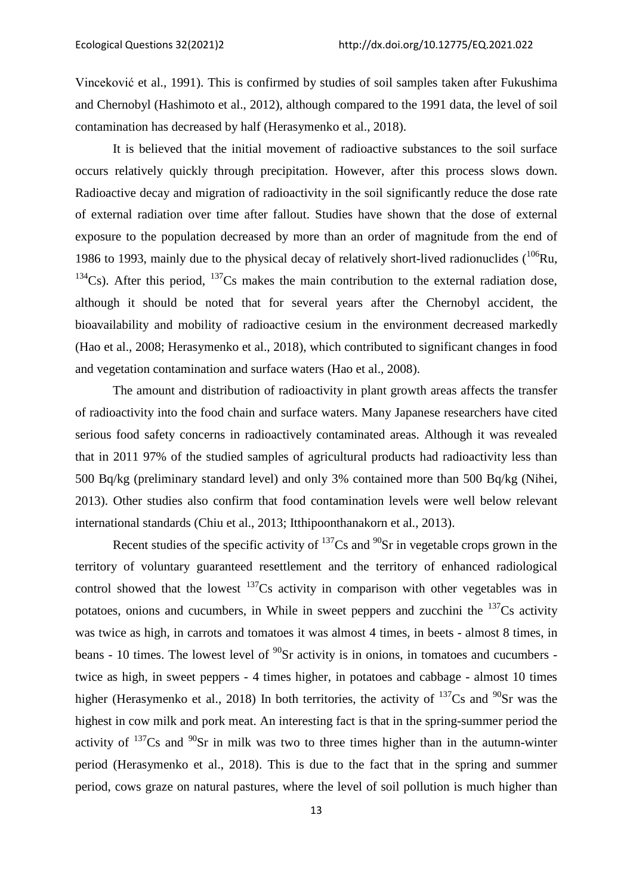Vinceković et al., 1991). This is confirmed by studies of soil samples taken after Fukushima and Chernobyl (Hashimoto et al., 2012), although compared to the 1991 data, the level of soil contamination has decreased by half (Herasymenko et al., 2018).

It is believed that the initial movement of radioactive substances to the soil surface occurs relatively quickly through precipitation. However, after this process slows down. Radioactive decay and migration of radioactivity in the soil significantly reduce the dose rate of external radiation over time after fallout. Studies have shown that the dose of external exposure to the population decreased by more than an order of magnitude from the end of 1986 to 1993, mainly due to the physical decay of relatively short-lived radionuclides  $(106)$ Ru,  $134$ Cs). After this period,  $137$ Cs makes the main contribution to the external radiation dose, although it should be noted that for several years after the Chernobyl accident, the bioavailability and mobility of radioactive cesium in the environment decreased markedly (Hao et al., 2008; Herasymenko et al., 2018), which contributed to significant changes in food and vegetation contamination and surface waters (Hao et al., 2008).

The amount and distribution of radioactivity in plant growth areas affects the transfer of radioactivity into the food chain and surface waters. Many Japanese researchers have cited serious food safety concerns in radioactively contaminated areas. Although it was revealed that in 2011 97% of the studied samples of agricultural products had radioactivity less than 500 Bq/kg (preliminary standard level) and only 3% contained more than 500 Bq/kg (Nihei, 2013). Other studies also confirm that food contamination levels were well below relevant international standards (Chiu et al., 2013; Itthipoonthanakorn et al., 2013).

Recent studies of the specific activity of  $137Cs$  and  $90Sr$  in vegetable crops grown in the territory of voluntary guaranteed resettlement and the territory of enhanced radiological control showed that the lowest  $137Cs$  activity in comparison with other vegetables was in potatoes, onions and cucumbers, in While in sweet peppers and zucchini the  $137Cs$  activity was twice as high, in carrots and tomatoes it was almost 4 times, in beets - almost 8 times, in beans - 10 times. The lowest level of  $^{90}$ Sr activity is in onions, in tomatoes and cucumbers twice as high, in sweet peppers - 4 times higher, in potatoes and cabbage - almost 10 times higher (Herasymenko et al., 2018) In both territories, the activity of  $^{137}Cs$  and  $^{90}Sr$  was the highest in cow milk and pork meat. An interesting fact is that in the spring-summer period the activity of  $137Cs$  and  $90Sr$  in milk was two to three times higher than in the autumn-winter period (Herasymenko et al., 2018). This is due to the fact that in the spring and summer period, cows graze on natural pastures, where the level of soil pollution is much higher than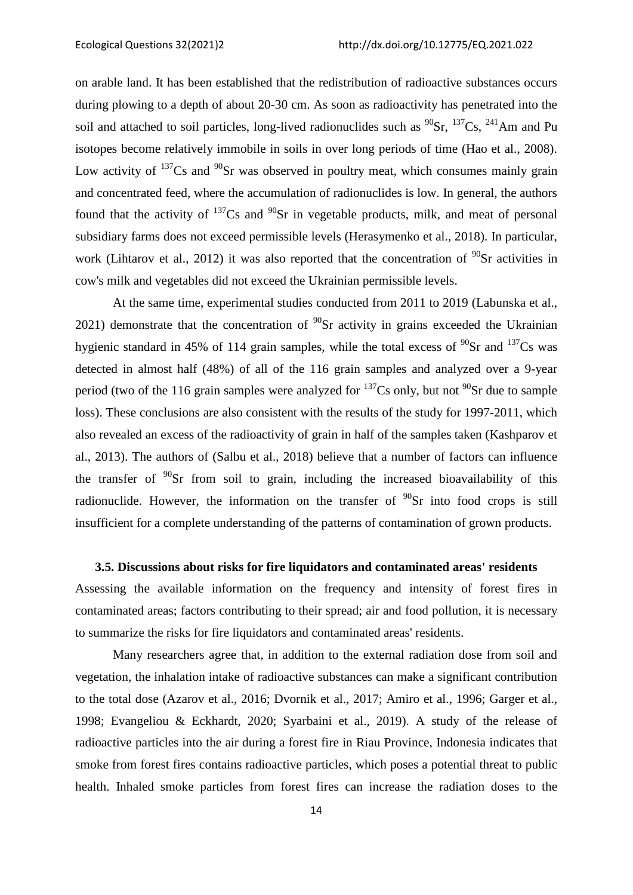on arable land. It has been established that the redistribution of radioactive substances occurs during plowing to a depth of about 20-30 cm. As soon as radioactivity has penetrated into the soil and attached to soil particles, long-lived radionuclides such as  $^{90}Sr$ ,  $^{137}Cs$ ,  $^{241}Am$  and Pu isotopes become relatively immobile in soils in over long periods of time (Hao et al., 2008). Low activity of  $137$ Cs and  $90$ Sr was observed in poultry meat, which consumes mainly grain and concentrated feed, where the accumulation of radionuclides is low. In general, the authors found that the activity of  $137$ Cs and  $90$ Sr in vegetable products, milk, and meat of personal subsidiary farms does not exceed permissible levels (Herasymenko et al., 2018). In particular, work (Lihtarov et al., 2012) it was also reported that the concentration of  $^{90}Sr$  activities in cow's milk and vegetables did not exceed the Ukrainian permissible levels.

At the same time, experimental studies conducted from 2011 to 2019 (Labunska et al., 2021) demonstrate that the concentration of  $^{90}$ Sr activity in grains exceeded the Ukrainian hygienic standard in 45% of 114 grain samples, while the total excess of  $^{90}Sr$  and  $^{137}Cs$  was detected in almost half (48%) of all of the 116 grain samples and analyzed over a 9-year period (two of the 116 grain samples were analyzed for  $137Cs$  only, but not  $90Sr$  due to sample loss). These conclusions are also consistent with the results of the study for 1997-2011, which also revealed an excess of the radioactivity of grain in half of the samples taken (Kashparov et al., 2013). The authors of (Salbu et al., 2018) believe that a number of factors can influence the transfer of  $90$ Sr from soil to grain, including the increased bioavailability of this radionuclide. However, the information on the transfer of  $90\$ Sr into food crops is still insufficient for a complete understanding of the patterns of contamination of grown products.

# **3.5. Discussions about risks for fire liquidators and contaminated areas' residents**

Assessing the available information on the frequency and intensity of forest fires in contaminated areas; factors contributing to their spread; air and food pollution, it is necessary to summarize the risks for fire liquidators and contaminated areas' residents.

Many researchers agree that, in addition to the external radiation dose from soil and vegetation, the inhalation intake of radioactive substances can make a significant contribution to the total dose (Azarov et al., 2016; Dvornik et al., 2017; Amiro et al., 1996; Garger et al., 1998; Evangeliou & Eckhardt, 2020; Syarbaini et al., 2019). A study of the release of radioactive particles into the air during a forest fire in Riau Province, Indonesia indicates that smoke from forest fires contains radioactive particles, which poses a potential threat to public health. Inhaled smoke particles from forest fires can increase the radiation doses to the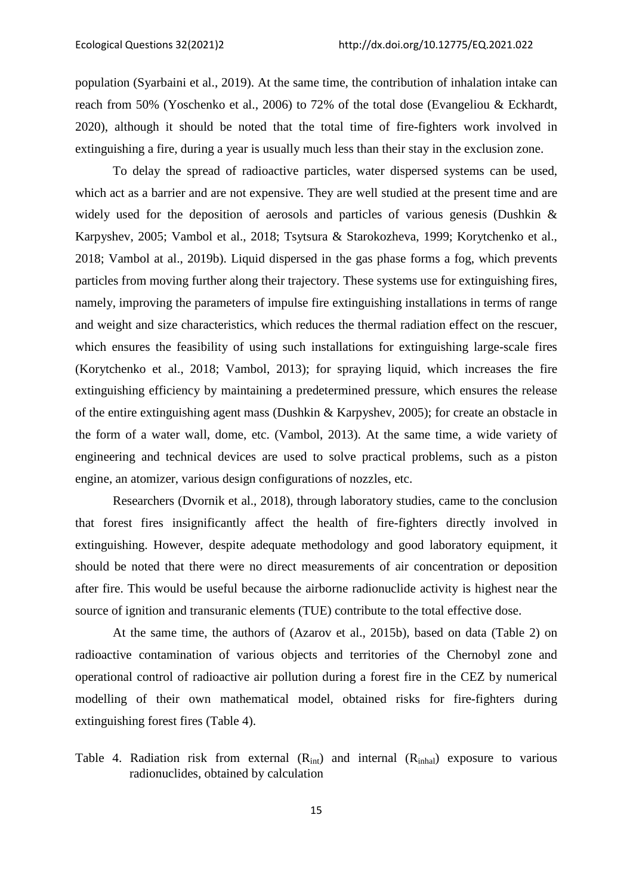population (Syarbaini et al., 2019). At the same time, the contribution of inhalation intake can reach from 50% (Yoschenko et al., 2006) to 72% of the total dose (Evangeliou & Eckhardt, 2020), although it should be noted that the total time of fire-fighters work involved in extinguishing a fire, during a year is usually much less than their stay in the exclusion zone.

To delay the spread of radioactive particles, water dispersed systems can be used, which act as a barrier and are not expensive. They are well studied at the present time and are widely used for the deposition of aerosols and particles of various genesis (Dushkin & Karpyshev, 2005; Vambol et al., 2018; Tsytsura & Starokozheva, 1999; Korytchenko et al., 2018; Vambol at al., 2019b). Liquid dispersed in the gas phase forms a fog, which prevents particles from moving further along their trajectory. These systems use for extinguishing fires, namely, improving the parameters of impulse fire extinguishing installations in terms of range and weight and size characteristics, which reduces the thermal radiation effect on the rescuer, which ensures the feasibility of using such installations for extinguishing large-scale fires (Korytchenko et al., 2018; Vambol, 2013); for spraying liquid, which increases the fire extinguishing efficiency by maintaining a predetermined pressure, which ensures the release of the entire extinguishing agent mass (Dushkin & Karpyshev, 2005); for create an obstacle in the form of a water wall, dome, etc. (Vambol, 2013). At the same time, a wide variety of engineering and technical devices are used to solve practical problems, such as a piston engine, an atomizer, various design configurations of nozzles, etc.

Researchers (Dvornik et al., 2018), through laboratory studies, came to the conclusion that forest fires insignificantly affect the health of fire-fighters directly involved in extinguishing. However, despite adequate methodology and good laboratory equipment, it should be noted that there were no direct measurements of air concentration or deposition after fire. This would be useful because the airborne radionuclide activity is highest near the source of ignition and transuranic elements (TUE) contribute to the total effective dose.

At the same time, the authors of (Azarov et al., 2015b), based on data (Table 2) on radioactive contamination of various objects and territories of the Chernobyl zone and operational control of radioactive air pollution during a forest fire in the CEZ by numerical modelling of their own mathematical model, obtained risks for fire-fighters during extinguishing forest fires (Table 4).

Table 4. Radiation risk from external  $(R_{int})$  and internal  $(R_{inhal})$  exposure to various radionuclides, obtained by calculation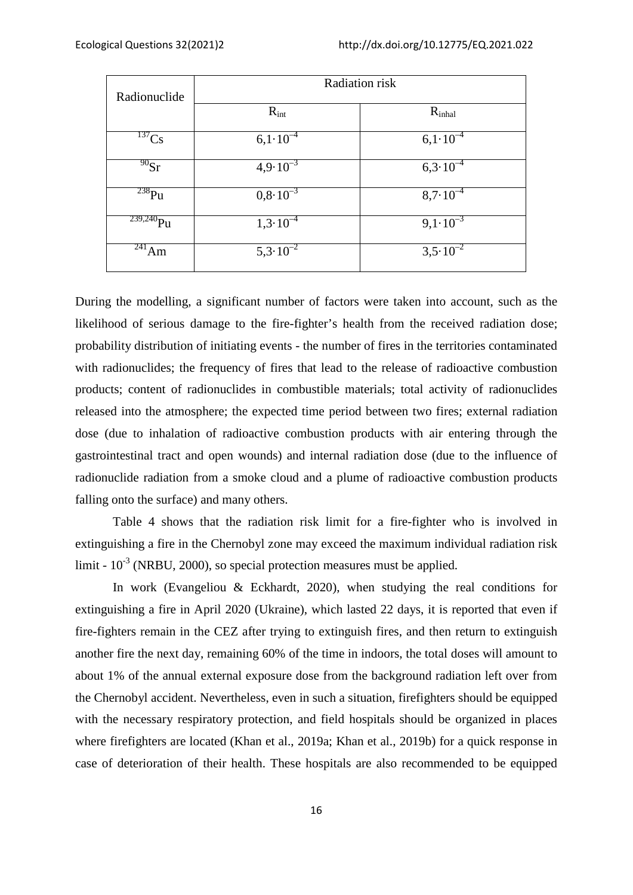| Radionuclide    | Radiation risk                  |                          |  |  |
|-----------------|---------------------------------|--------------------------|--|--|
|                 | $R_{int}$                       | $R_{\text{inhal}}$       |  |  |
| $^{137}Cs$      | $6,1.10^{-4}$                   | $6,1.10^{-4}$            |  |  |
| $^{90}$ Sr      | $4,9.10^{-3}$                   | $6,3.10^{-4}$            |  |  |
| $238$ Pu        | $0,\!\overline{8\cdot 10^{-3}}$ | $8,7.10^{-4}$            |  |  |
| $^{239,240}$ Pu | $1,3.\overline{10^{-4}}$        | $9,1.\overline{10^{-3}}$ |  |  |
| $^{241}$ Am     | $5,3.10^{-2}$                   | $3,5.10^{-2}$            |  |  |

During the modelling, a significant number of factors were taken into account, such as the likelihood of serious damage to the fire-fighter's health from the received radiation dose; probability distribution of initiating events - the number of fires in the territories contaminated with radionuclides; the frequency of fires that lead to the release of radioactive combustion products; content of radionuclides in combustible materials; total activity of radionuclides released into the atmosphere; the expected time period between two fires; external radiation dose (due to inhalation of radioactive combustion products with air entering through the gastrointestinal tract and open wounds) and internal radiation dose (due to the influence of radionuclide radiation from a smoke cloud and a plume of radioactive combustion products falling onto the surface) and many others.

Table 4 shows that the radiation risk limit for a fire-fighter who is involved in extinguishing a fire in the Chernobyl zone may exceed the maximum individual radiation risk limit -  $10^{-3}$  (NRBU, 2000), so special protection measures must be applied.

In work (Evangeliou & Eckhardt, 2020), when studying the real conditions for extinguishing a fire in April 2020 (Ukraine), which lasted 22 days, it is reported that even if fire-fighters remain in the CEZ after trying to extinguish fires, and then return to extinguish another fire the next day, remaining 60% of the time in indoors, the total doses will amount to about 1% of the annual external exposure dose from the background radiation left over from the Chernobyl accident. Nevertheless, even in such a situation, firefighters should be equipped with the necessary respiratory protection, and field hospitals should be organized in places where firefighters are located (Khan et al., 2019a; Khan et al., 2019b) for a quick response in case of deterioration of their health. These hospitals are also recommended to be equipped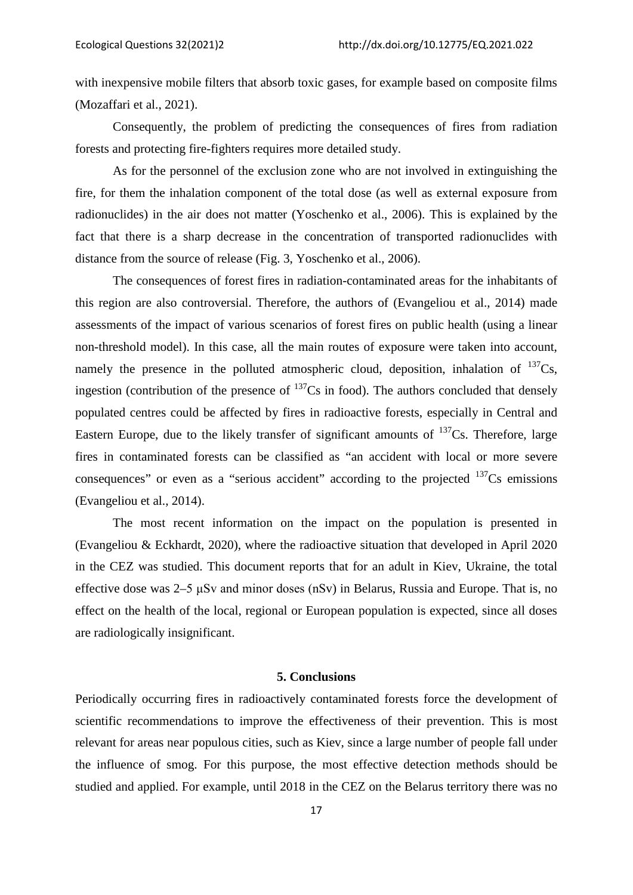with inexpensive mobile filters that absorb toxic gases, for example based on composite films (Mozaffari et al., 2021).

Consequently, the problem of predicting the consequences of fires from radiation forests and protecting fire-fighters requires more detailed study.

As for the personnel of the exclusion zone who are not involved in extinguishing the fire, for them the inhalation component of the total dose (as well as external exposure from radionuclides) in the air does not matter (Yoschenko et al., 2006). This is explained by the fact that there is a sharp decrease in the concentration of transported radionuclides with distance from the source of release (Fig. 3, Yoschenko et al., 2006).

The consequences of forest fires in radiation-contaminated areas for the inhabitants of this region are also controversial. Therefore, the authors of (Evangeliou et al., 2014) made assessments of the impact of various scenarios of forest fires on public health (using a linear non-threshold model). In this case, all the main routes of exposure were taken into account, namely the presence in the polluted atmospheric cloud, deposition, inhalation of  $^{137}Cs$ , ingestion (contribution of the presence of  $^{137}Cs$  in food). The authors concluded that densely populated centres could be affected by fires in radioactive forests, especially in Central and Eastern Europe, due to the likely transfer of significant amounts of  $137Cs$ . Therefore, large fires in contaminated forests can be classified as "an accident with local or more severe consequences" or even as a "serious accident" according to the projected  $137Cs$  emissions (Evangeliou et al., 2014).

The most recent information on the impact on the population is presented in (Evangeliou & Eckhardt, 2020), where the radioactive situation that developed in April 2020 in the CEZ was studied. This document reports that for an adult in Kiev, Ukraine, the total effective dose was 2–5 μSv and minor doses (nSv) in Belarus, Russia and Europe. That is, no effect on the health of the local, regional or European population is expected, since all doses are radiologically insignificant.

### **5. Conclusions**

Periodically occurring fires in radioactively contaminated forests force the development of scientific recommendations to improve the effectiveness of their prevention. This is most relevant for areas near populous cities, such as Kiev, since a large number of people fall under the influence of smog. For this purpose, the most effective detection methods should be studied and applied. For example, until 2018 in the CEZ on the Belarus territory there was no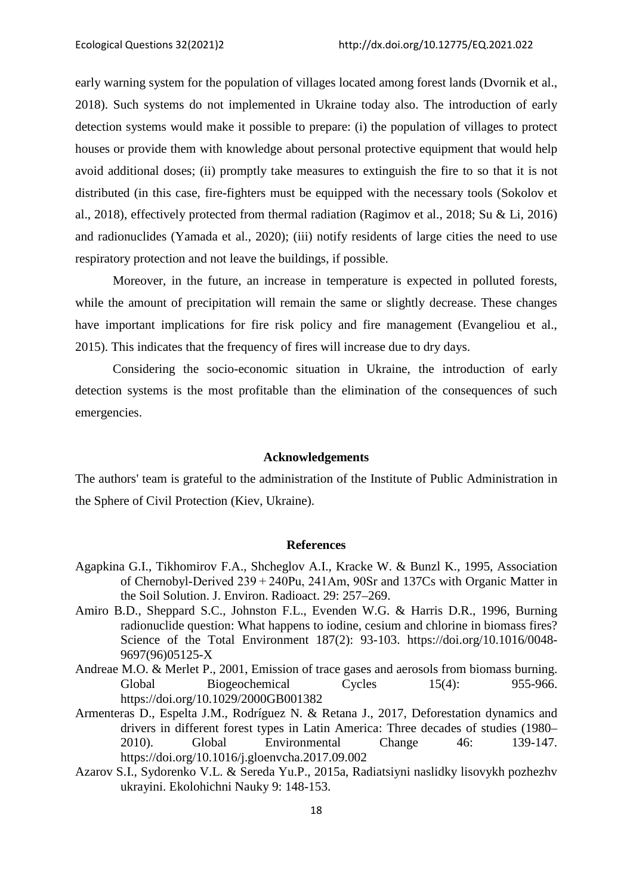early warning system for the population of villages located among forest lands (Dvornik et al., 2018). Such systems do not implemented in Ukraine today also. The introduction of early detection systems would make it possible to prepare: (i) the population of villages to protect houses or provide them with knowledge about personal protective equipment that would help avoid additional doses; (ii) promptly take measures to extinguish the fire to so that it is not distributed (in this case, fire-fighters must be equipped with the necessary tools (Sokolov et al., 2018), effectively protected from thermal radiation (Ragimov et al., 2018; Su & Li, 2016) and radionuclides (Yamada et al., 2020); (iii) notify residents of large cities the need to use respiratory protection and not leave the buildings, if possible.

Moreover, in the future, an increase in temperature is expected in polluted forests, while the amount of precipitation will remain the same or slightly decrease. These changes have important implications for fire risk policy and fire management (Evangeliou et al., 2015). This indicates that the frequency of fires will increase due to dry days.

Considering the socio-economic situation in Ukraine, the introduction of early detection systems is the most profitable than the elimination of the consequences of such emergencies.

#### **Acknowledgements**

The authors' team is grateful to the administration of the Institute of Public Administration in the Sphere of Civil Protection (Kiev, Ukraine).

### **References**

- Agapkina G.I., Tikhomirov F.A., Shcheglov A.I., Kracke W. & Bunzl K., 1995, Association of Chernobyl-Derived 239 + 240Pu, 241Am, 90Sr and 137Cs with Organic Matter in the Soil Solution. J. Environ. Radioact. 29: 257–269.
- Amiro B.D., Sheppard S.C., Johnston F.L., Evenden W.G. & Harris D.R., 1996, Burning radionuclide question: What happens to iodine, cesium and chlorine in biomass fires? Science of the Total Environment 187(2): 93-103. https://doi.org/10.1016/0048- 9697(96)05125-X
- Andreae M.O. & Merlet P., 2001, Emission of trace gases and aerosols from biomass burning. Global Biogeochemical Cycles 15(4): 955-966. https://doi.org/10.1029/2000GB001382
- Armenteras D., Espelta J.M., Rodríguez N. & Retana J., 2017, Deforestation dynamics and drivers in different forest types in Latin America: Three decades of studies (1980– 2010). Global Environmental Change 46: 139-147. https://doi.org/10.1016/j.gloenvcha.2017.09.002
- Azarov S.I., Sydorenko V.L. & Sereda Yu.P., 2015a, Radiatsiyni naslidky lisovykh pozhezhv ukrayini. Ekolohichni Nauky 9: 148-153.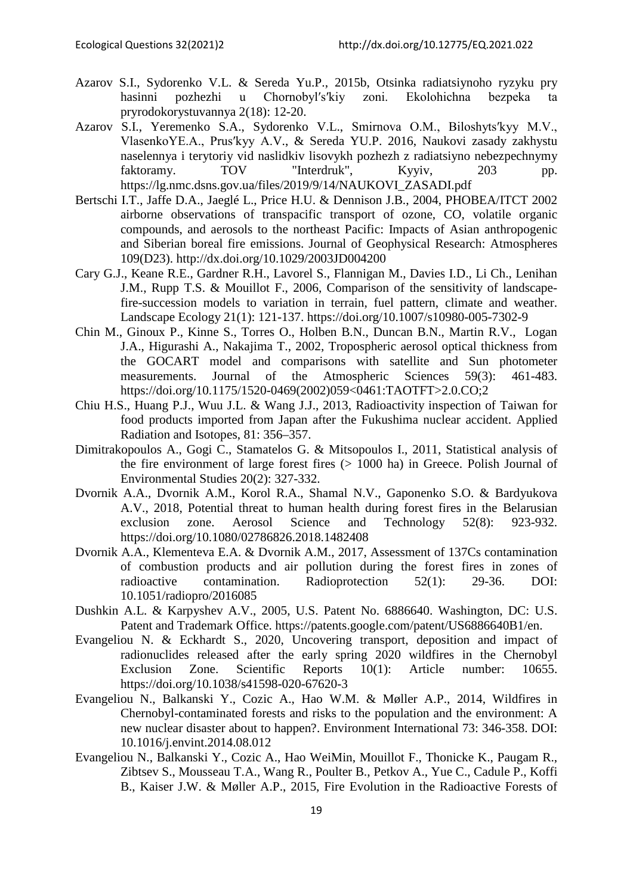- Azarov S.I., Sydorenko V.L. & Sereda Yu.P., 2015b, Otsinka radiatsiynoho ryzyku pry hasinni pozhezhi u Chornobylʹsʹkiy zoni. Ekolohichna bezpeka ta pryrodokorystuvannya 2(18): 12-20.
- Azarov S.I., Yeremenko S.A., Sydorenko V.L., Smirnova O.M., Biloshytsʹkyy M.V., VlasenkoYE.A., Prusʹkyy A.V., & Sereda YU.P. 2016, Naukovi zasady zakhystu naselennya i terytoriy vid naslidkiv lisovykh pozhezh z radiatsiyno nebezpechnymy faktoramy. TOV "Interdruk", Kyyiv, 203 pp. [https://lg.nmc.dsns.gov.ua/files/2019/9/14/NAUKOVI\\_ZASADI.pdf](https://lg.nmc.dsns.gov.ua/files/2019/9/14/NAUKOVI_ZASADI.pdf)
- Bertschi I.T., Jaffe D.A., Jaeglé L., Price H.U. & Dennison J.B., 2004, PHOBEA/ITCT 2002 airborne observations of transpacific transport of ozone, CO, volatile organic compounds, and aerosols to the northeast Pacific: Impacts of Asian anthropogenic and Siberian boreal fire emissions. Journal of Geophysical Research: Atmospheres 109(D23). http://dx.doi.org/10.1029/2003JD004200
- Cary G.J., Keane R.E., Gardner R.H., Lavorel S., Flannigan M., Davies I.D., Li Ch., Lenihan J.M., Rupp T.S. & Mouillot F., 2006, Comparison of the sensitivity of landscapefire-succession models to variation in terrain, fuel pattern, climate and weather. Landscape Ecology 21(1): 121-137. https://doi.org/10.1007/s10980-005-7302-9
- Chin M., Ginoux P., Kinne S., Torres O., Holben B.N., Duncan B.N., Martin R.V., Logan J.A., Higurashi A., Nakajima T., 2002, Tropospheric aerosol optical thickness from the GOCART model and comparisons with satellite and Sun photometer measurements. Journal of the Atmospheric Sciences 59(3): 461-483. https://doi.org/10.1175/1520-0469(2002)059<0461:TAOTFT>2.0.CO;2
- Chiu H.S., Huang P.J., Wuu J.L. & Wang J.J., 2013, Radioactivity inspection of Taiwan for food products imported from Japan after the Fukushima nuclear accident. Applied Radiation and Isotopes, 81: 356–357.
- Dimitrakopoulos A., Gogi C., Stamatelos G. & Mitsopoulos I., 2011, Statistical analysis of the fire environment of large forest fires  $(> 1000$  ha) in Greece. Polish Journal of Environmental Studies 20(2): 327-332.
- Dvornik A.A., Dvornik A.M., Korol R.A., Shamal N.V., Gaponenko S.O. & Bardyukova A.V., 2018, Potential threat to human health during forest fires in the Belarusian exclusion zone. Aerosol Science and Technology 52(8): 923-932. https://doi.org/10.1080/02786826.2018.1482408
- Dvornik A.A., Klementeva E.A. & Dvornik A.M., 2017, Assessment of 137Cs contamination of combustion products and air pollution during the forest fires in zones of radioactive contamination. Radioprotection 52(1): 29-36. DOI: 10.1051/radiopro/2016085
- Dushkin A.L. & Karpyshev A.V., 2005, U.S. Patent No. 6886640. Washington, DC: U.S. Patent and Trademark Office. https://patents.google.com/patent/US6886640B1/en.
- Evangeliou N. & Eckhardt S., 2020, Uncovering transport, deposition and impact of radionuclides released after the early spring 2020 wildfires in the Chernobyl Exclusion Zone. Scientific Reports 10(1): Article number: 10655. https://doi.org/10.1038/s41598-020-67620-3
- Evangeliou N., Balkanski Y., Cozic A., Hao W.M. & Møller A.P., 2014, Wildfires in Chernobyl-contaminated forests and risks to the population and the environment: A new nuclear disaster about to happen?. Environment International 73: 346-358. DOI: 10.1016/j.envint.2014.08.012
- Evangeliou N., Balkanski Y., Cozic A., Hao WeiMin, Mouillot F., Thonicke K., Paugam R., Zibtsev S., Mousseau T.A., Wang R., Poulter B., Petkov A., Yue C., Cadule P., Koffi B., Kaiser J.W. & Møller A.P., 2015, Fire Evolution in the Radioactive Forests of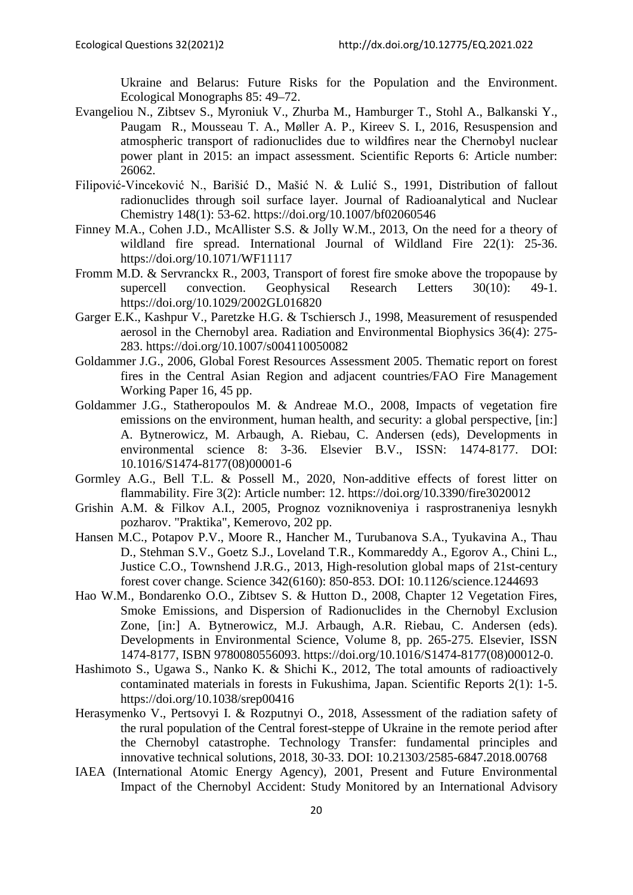Ukraine and Belarus: Future Risks for the Population and the Environment. Ecological Monographs 85: 49–72.

- Evangeliou N., Zibtsev S., Myroniuk V., Zhurba M., Hamburger T., Stohl A., Balkanski Y., Paugam R., Mousseau T. A., Møller A. P., Kireev S. I., 2016, Resuspension and atmospheric transport of radionuclides due to wildfires near the Chernobyl nuclear power plant in 2015: an impact assessment. Scientific Reports 6: Article number: 26062.
- Filipović-Vinceković N., Barišić D., Mašić N. & Lulić S., 1991, Distribution of fallout radionuclides through soil surface layer. Journal of Radioanalytical and Nuclear Chemistry 148(1): 53-62. https://doi.org/10.1007/bf02060546
- Finney M.A., Cohen J.D., McAllister S.S. & Jolly W.M., 2013, On the need for a theory of wildland fire spread. International Journal of Wildland Fire 22(1): 25-36. https://doi.org/10.1071/WF11117
- Fromm M.D. & Servranckx R., 2003, Transport of forest fire smoke above the tropopause by supercell convection. Geophysical Research Letters 30(10): 49-1. https://doi.org/10.1029/2002GL016820
- Garger E.K., Kashpur V., Paretzke H.G. & Tschiersch J., 1998, Measurement of resuspended aerosol in the Chernobyl area. Radiation and Environmental Biophysics 36(4): 275- 283. https://doi.org/10.1007/s004110050082
- Goldammer J.G., 2006, Global Forest Resources Assessment 2005. Thematic report on forest fires in the Central Asian Region and adjacent countries/FAO Fire Management Working Paper 16, 45 pp.
- Goldammer J.G., Statheropoulos M. & Andreae M.O., 2008, Impacts of vegetation fire emissions on the environment, human health, and security: a global perspective, [in:] A. Bytnerowicz, M. Arbaugh, A. Riebau, C. Andersen (eds), Developments in environmental science 8: 3-36. Elsevier B.V., ISSN: 1474-8177. DOI: 10.1016/S1474-8177(08)00001-6
- Gormley A.G., Bell T.L. & Possell M., 2020, Non-additive effects of forest litter on flammability. Fire 3(2): Article number: 12. https://doi.org/10.3390/fire3020012
- Grishin A.M. & Filkov A.I., 2005, Prognoz vozniknoveniya i rasprostraneniya lesnykh pozharov. "Praktika", Kemerovo, 202 pp.
- Hansen M.C., Potapov P.V., Moore R., Hancher M., Turubanova S.A., Tyukavina A., Thau D., Stehman S.V., Goetz S.J., Loveland T.R., Kommareddy A., Egorov A., Chini L., Justice C.O., Townshend J.R.G., 2013, High-resolution global maps of 21st-century forest cover change. Science 342(6160): 850-853. DOI: 10.1126/science.1244693
- Hao W.M., Bondarenko O.O., Zibtsev S. & Hutton D., 2008, Chapter 12 Vegetation Fires, Smoke Emissions, and Dispersion of Radionuclides in the Chernobyl Exclusion Zone, [in:] A. Bytnerowicz, M.J. Arbaugh, A.R. Riebau, C. Andersen (eds). Developments in Environmental Science, Volume 8, pp. 265-275. Elsevier, ISSN 1474-8177, ISBN 9780080556093. https://doi.org/10.1016/S1474-8177(08)00012-0.
- Hashimoto S., Ugawa S., Nanko K. & Shichi K., 2012, The total amounts of radioactively contaminated materials in forests in Fukushima, Japan. Scientific Reports 2(1): 1-5. https://doi.org/10.1038/srep00416
- Herasymenko V., Pertsovyi I. & Rozputnyi O., 2018, Assessment of the radiation safety of the rural population of the Central forest-steppe of Ukraine in the remote period after the Chernobyl catastrophe. Technology Transfer: fundamental principles and innovative technical solutions, 2018, 30-33. DOI: 10.21303/2585-6847.2018.00768
- IAEA (International Atomic Energy Agency), 2001, Present and Future Environmental Impact of the Chernobyl Accident: Study Monitored by an International Advisory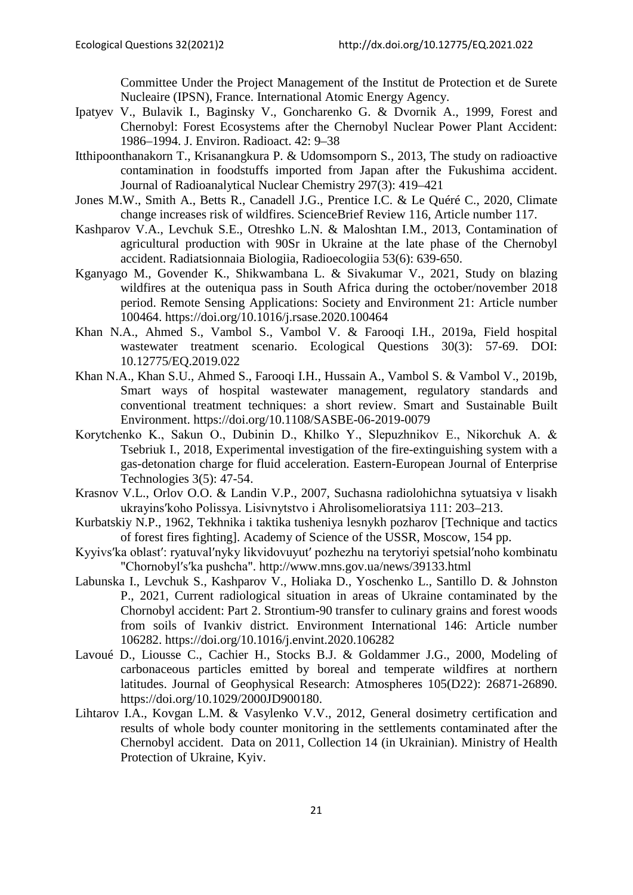Committee Under the Project Management of the Institut de Protection et de Surete Nucleaire (IPSN), France. International Atomic Energy Agency.

- Ipatyev V., Bulavik I., Baginsky V., Goncharenko G. & Dvornik A., 1999, Forest and Chernobyl: Forest Ecosystems after the Chernobyl Nuclear Power Plant Accident: 1986–1994. J. Environ. Radioact. 42: 9–38
- Itthipoonthanakorn T., Krisanangkura P. & Udomsomporn S., 2013, The study on radioactive contamination in foodstuffs imported from Japan after the Fukushima accident. Journal of Radioanalytical Nuclear Chemistry 297(3): 419–421
- Jones M.W., Smith A., Betts R., Canadell J.G., Prentice I.C. & Le Quéré C., 2020, Climate change increases risk of wildfires. ScienceBrief Review 116, Article number 117.
- Kashparov V.A., Levchuk S.E., Otreshko L.N. & Maloshtan I.M., 2013, Contamination of agricultural production with 90Sr in Ukraine at the late phase of the Chernobyl accident. Radiatsionnaia Biologiia, Radioecologiia 53(6): 639-650.
- Kganyago M., Govender K., Shikwambana L. & Sivakumar V., 2021, Study on blazing wildfires at the outeniqua pass in South Africa during the october/november 2018 period. Remote Sensing Applications: Society and Environment 21: Article number 100464. https://doi.org/10.1016/j.rsase.2020.100464
- Khan N.A., Ahmed S., Vambol S., Vambol V. & Farooqi I.H., 2019a, Field hospital wastewater treatment scenario. Ecological Questions 30(3): 57-69. DOI: 10.12775/EQ.2019.022
- Khan N.A., Khan S.U., Ahmed S., Farooqi I.H., Hussain A., Vambol S. & Vambol V., 2019b, Smart ways of hospital wastewater management, regulatory standards and conventional treatment techniques: a short review. Smart and Sustainable Built Environment. https://doi.org/10.1108/SASBE-06-2019-0079
- Korytchenko K., Sakun О., Dubinin D., Khilko Y., Slepuzhnikov E., Nikorchuk A. & Tsebriuk I., 2018, Experimental investigation of the fire-extinguishing system with a gas-detonation charge for fluid acceleration. Eastern-European Journal of Enterprise Technologies 3(5): 47-54.
- Krasnov V.L., Orlov O.O. & Landin V.P., 2007, Suchasna radiolohichna sytuatsiya v lisakh ukrayinsʹkoho Polissya. Lisivnytstvo i Ahrolisomelioratsiya 111: 203–213.
- Kurbatskiy N.P., 1962, Tekhnika i taktika tusheniya lesnykh pozharov [Technique and tactics of forest fires fighting]. Academy of Science of the USSR, Moscow, 154 pp.
- Kyyivsʹka oblastʹ: ryatuvalʹnyky likvidovuyutʹ pozhezhu na terytoriyi spetsialʹnoho kombinatu "Chornobylʹsʹka pushcha". http://www.mns.gov.ua/news/39133.html
- Labunska I., Levchuk S., Kashparov V., Holiaka D., Yoschenko L., Santillo D. & Johnston P., 2021, Current radiological situation in areas of Ukraine contaminated by the Chornobyl accident: Part 2. Strontium-90 transfer to culinary grains and forest woods from soils of Ivankiv district. Environment International 146: Article number 106282. https://doi.org/10.1016/j.envint.2020.106282
- Lavoué D., Liousse C., Cachier H., Stocks B.J. & Goldammer J.G., 2000, Modeling of carbonaceous particles emitted by boreal and temperate wildfires at northern latitudes. Journal of Geophysical Research: Atmospheres 105(D22): 26871-26890. https://doi.org/10.1029/2000JD900180.
- Lihtarov I.A., Kovgan L.M. & Vasylenko V.V., 2012, General dosimetry certification and results of whole body counter monitoring in the settlements contaminated after the Chernobyl accident. Data on 2011, Collection 14 (in Ukrainian). Ministry of Health Protection of Ukraine, Kyiv.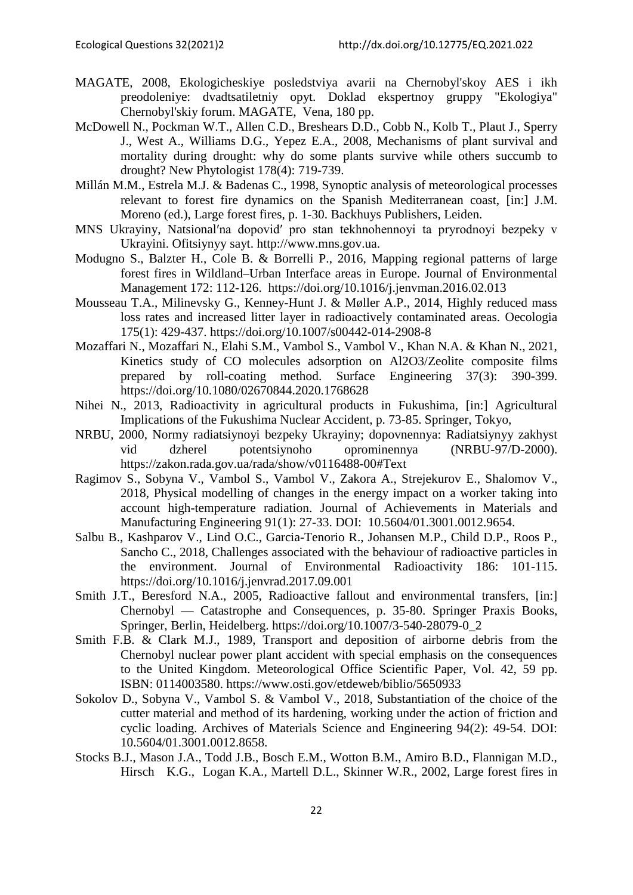- MAGATE, 2008, Ekologicheskiye posledstviya avarii na Chernobyl'skoy AES i ikh preodoleniye: dvadtsatiletniy opyt. Doklad ekspertnoy gruppy "Ekologiya" Chernobyl'skiy forum. MAGATE, Vena, 180 pp.
- McDowell N., Pockman W.T., Allen C.D., Breshears D.D., Cobb N., Kolb T., Plaut J., Sperry J., West A., Williams D.G., Yepez E.A., 2008, Mechanisms of plant survival and mortality during drought: why do some plants survive while others succumb to drought? New Phytologist 178(4): 719-739.
- Millán M.M., Estrela M.J. & Badenas C., 1998, Synoptic analysis of meteorological processes relevant to forest fire dynamics on the Spanish Mediterranean coast, [in:] J.M. Moreno (ed.), Large forest fires, p. 1-30. Backhuys Publishers, Leiden.
- MNS Ukrayiny, Natsionalʹna dopovidʹ pro stan tekhnohennoyi ta pryrodnoyi bezpeky v Ukrayini. Ofitsiynyy sayt. http://www.mns.gov.ua.
- Modugno S., Balzter H., Cole B. & Borrelli P., 2016, Mapping regional patterns of large forest fires in Wildland–Urban Interface areas in Europe. Journal of Environmental Management 172: 112-126. https://doi.org/10.1016/j.jenvman.2016.02.013
- Mousseau T.A., Milinevsky G., Kenney-Hunt J. & Møller A.P., 2014, Highly reduced mass loss rates and increased litter layer in radioactively contaminated areas. Oecologia 175(1): 429-437. https://doi.org/10.1007/s00442-014-2908-8
- Mozaffari N., Mozaffari N., Elahi S.M., Vambol S., Vambol V., Khan N.A. & Khan N., 2021, Kinetics study of CO molecules adsorption on Al2O3/Zeolite composite films prepared by roll-coating method. Surface Engineering 37(3): 390-399. https://doi.org/10.1080/02670844.2020.1768628
- Nihei N., 2013, Radioactivity in agricultural products in Fukushima, [in:] Agricultural Implications of the Fukushima Nuclear Accident, p. 73-85. Springer, Tokyo,
- NRBU, 2000, Normy radiatsiynoyi bezpeky Ukrayiny; dopovnennya: Radiatsiynyy zakhyst vid dzherel potentsiynoho oprominennya (NRBU-97/D-2000). <https://zakon.rada.gov.ua/rada/show/v0116488-00#Text>
- Ragimov S., Sobyna V., Vambol S., Vambol V., Zakora A., Strejekurov E., Shalomov V., 2018, Physical modelling of changes in the energy impact on a worker taking into account high-temperature radiation. Journal of Achievements in Materials and Manufacturing Engineering 91(1): 27-33. DOI: 10.5604/01.3001.0012.9654.
- Salbu B., Kashparov V., Lind O.C., Garcia-Tenorio R., Johansen M.P., Child D.P., Roos P., Sancho C., 2018, Challenges associated with the behaviour of radioactive particles in the environment. Journal of Environmental Radioactivity 186: 101-115. https://doi.org/10.1016/j.jenvrad.2017.09.001
- Smith J.T., Beresford N.A., 2005, Radioactive fallout and environmental transfers, [in:] Chernobyl — Catastrophe and Consequences, p. 35-80. Springer Praxis Books, Springer, Berlin, Heidelberg. https://doi.org/10.1007/3-540-28079-0\_2
- Smith F.B. & Clark M.J., 1989, Transport and deposition of airborne debris from the Chernobyl nuclear power plant accident with special emphasis on the consequences to the United Kingdom. Meteorological Office Scientific Paper, Vol. 42, 59 pp. ISBN: 0114003580.<https://www.osti.gov/etdeweb/biblio/5650933>
- Sokolov D., Sobyna V., Vambol S. & Vambol V., 2018, Substantiation of the choice of the cutter material and method of its hardening, working under the action of friction and cyclic loading. Archives of Materials Science and Engineering 94(2): 49-54. DOI: 10.5604/01.3001.0012.8658.
- Stocks B.J., Mason J.A., Todd J.B., Bosch E.M., Wotton B.M., Amiro B.D., Flannigan M.D., Hirsch K.G., Logan K.A., Martell D.L., Skinner W.R., 2002, Large forest fires in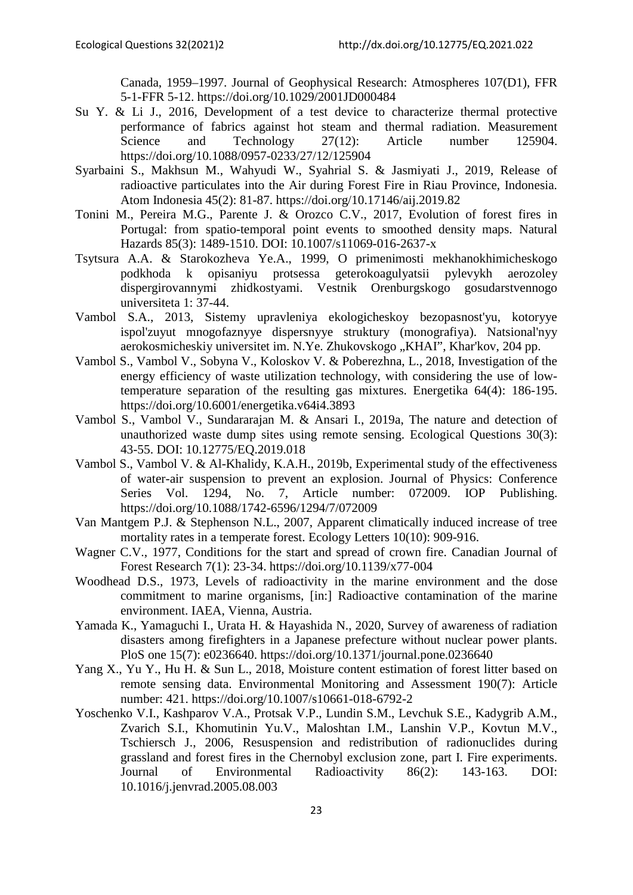Canada, 1959–1997. Journal of Geophysical Research: Atmospheres 107(D1), FFR 5-1-FFR 5-12. https://doi.org/10.1029/2001JD000484

- Su Y. & Li J., 2016, Development of a test device to characterize thermal protective performance of fabrics against hot steam and thermal radiation. Measurement Science and Technology 27(12): Article number 125904. https://doi.org/10.1088/0957-0233/27/12/125904
- Syarbaini S., Makhsun M., Wahyudi W., Syahrial S. & Jasmiyati J., 2019, Release of radioactive particulates into the Air during Forest Fire in Riau Province, Indonesia. Atom Indonesia 45(2): 81-87. https://doi.org/10.17146/aij.2019.82
- Tonini M., Pereira M.G., Parente J. & Orozco C.V., 2017, Evolution of forest fires in Portugal: from spatio-temporal point events to smoothed density maps. Natural Hazards 85(3): 1489-1510. DOI: 10.1007/s11069-016-2637-x
- Tsytsura A.A. & Starokozheva Ye.A., 1999, O primenimosti mekhanokhimicheskogo podkhoda k opisaniyu protsessa geterokoagulyatsii pylevykh aerozoley dispergirovannymi zhidkostyami. Vestnik Orenburgskogo gosudarstvennogo universiteta 1: 37-44.
- Vambol S.A., 2013, Sistemy upravleniya ekologicheskoy bezopasnost'yu, kotoryye ispol'zuyut mnogofaznyye dispersnyye struktury (monografiya). Natsional'nyy aerokosmicheskiy universitet im. N.Ye. Zhukovskogo "KHAI", Khar'kov, 204 pp.
- Vambol S., Vambol V., Sobyna V., Koloskov V. & Poberezhna, L., 2018, Investigation of the energy efficiency of waste utilization technology, with considering the use of lowtemperature separation of the resulting gas mixtures. Energetika 64(4): 186-195. https://doi.org/10.6001/energetika.v64i4.3893
- Vambol S., Vambol V., Sundararajan M. & Ansari I., 2019a, The nature and detection of unauthorized waste dump sites using remote sensing. Ecological Questions 30(3): 43-55. DOI: 10.12775/EQ.2019.018
- Vambol S., Vambol V. & Al-Khalidy, K.A.H., 2019b, Experimental study of the effectiveness of water-air suspension to prevent an explosion. Journal of Physics: Conference Series Vol. 1294, No. 7, Article number: 072009. IOP Publishing. https://doi.org/10.1088/1742-6596/1294/7/072009
- Van Mantgem P.J. & Stephenson N.L., 2007, Apparent climatically induced increase of tree mortality rates in a temperate forest. Ecology Letters 10(10): 909-916.
- Wagner C.V., 1977, Conditions for the start and spread of crown fire. Canadian Journal of Forest Research 7(1): 23-34. https://doi.org/10.1139/x77-004
- Woodhead D.S., 1973, Levels of radioactivity in the marine environment and the dose commitment to marine organisms, [in:] Radioactive contamination of the marine environment. IAEA, Vienna, Austria.
- Yamada K., Yamaguchi I., Urata H. & Hayashida N., 2020, Survey of awareness of radiation disasters among firefighters in a Japanese prefecture without nuclear power plants. PloS one 15(7): e0236640. https://doi.org/10.1371/journal.pone.0236640
- Yang X., Yu Y., Hu H. & Sun L., 2018, Moisture content estimation of forest litter based on remote sensing data. Environmental Monitoring and Assessment 190(7): Article number: 421.<https://doi.org/10.1007/s10661-018-6792-2>
- Yoschenko V.I., Kashparov V.A., Protsak V.P., Lundin S.M., Levchuk S.E., Kadygrib A.M., Zvarich S.I., Khomutinin Yu.V., Maloshtan I.M., Lanshin V.P., Kovtun M.V., Tschiersch J., 2006, Resuspension and redistribution of radionuclides during grassland and forest fires in the Chernobyl exclusion zone, part I. Fire experiments. Journal of Environmental Radioactivity 86(2): 143-163. DOI: 10.1016/j.jenvrad.2005.08.003